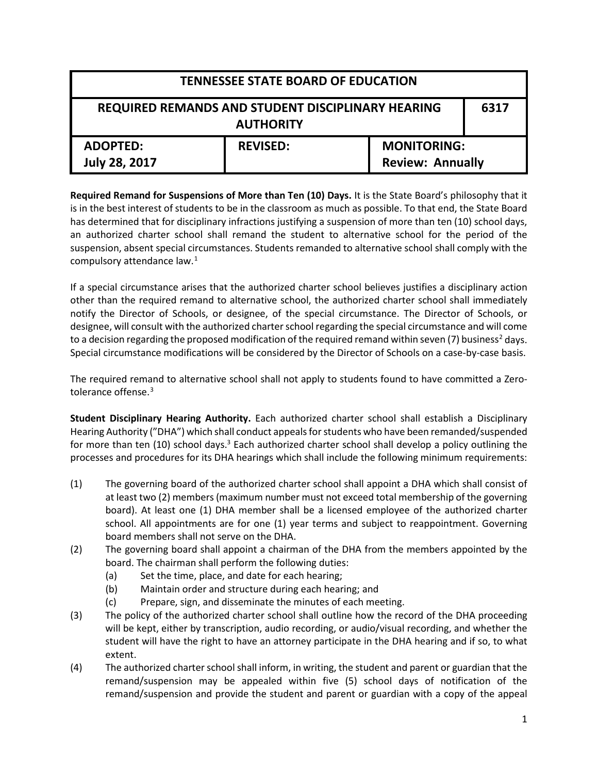| <b>TENNESSEE STATE BOARD OF EDUCATION</b>                                     |                 |                                               |  |
|-------------------------------------------------------------------------------|-----------------|-----------------------------------------------|--|
| REQUIRED REMANDS AND STUDENT DISCIPLINARY HEARING<br>6317<br><b>AUTHORITY</b> |                 |                                               |  |
| <b>ADOPTED:</b><br><b>July 28, 2017</b>                                       | <b>REVISED:</b> | <b>MONITORING:</b><br><b>Review: Annually</b> |  |

**Required Remand for Suspensions of More than Ten (10) Days.** It is the State Board's philosophy that it is in the best interest of students to be in the classroom as much as possible. To that end, the State Board has determined that for disciplinary infractions justifying a suspension of more than ten (10) school days, an authorized charter school shall remand the student to alternative school for the period of the suspension, absent special circumstances. Students remanded to alternative school shall comply with the compulsory attendance law.<sup>[1](#page-2-0)</sup>

If a special circumstance arises that the authorized charter school believes justifies a disciplinary action other than the required remand to alternative school, the authorized charter school shall immediately notify the Director of Schools, or designee, of the special circumstance. The Director of Schools, or designee, will consult with the authorized charter school regarding the special circumstance and will come to a decision regarding the proposed modification of the required remand within seven (7) business<sup>[2](#page-2-1)</sup> days. Special circumstance modifications will be considered by the Director of Schools on a case-by-case basis.

The required remand to alternative school shall not apply to students found to have committed a Zero-tolerance offense.<sup>[3](#page-2-2)</sup>

**Student Disciplinary Hearing Authority.** Each authorized charter school shall establish a Disciplinary Hearing Authority ("DHA") which shall conduct appeals for students who have been remanded/suspended for more than ten  $(10)$  school days.<sup>3</sup> Each authorized charter school shall develop a policy outlining the processes and procedures for its DHA hearings which shall include the following minimum requirements:

- (1) The governing board of the authorized charter school shall appoint a DHA which shall consist of at least two (2) members (maximum number must not exceed total membership of the governing board). At least one (1) DHA member shall be a licensed employee of the authorized charter school. All appointments are for one (1) year terms and subject to reappointment. Governing board members shall not serve on the DHA.
- (2) The governing board shall appoint a chairman of the DHA from the members appointed by the board. The chairman shall perform the following duties:
	- (a) Set the time, place, and date for each hearing;
	- (b) Maintain order and structure during each hearing; and
	- (c) Prepare, sign, and disseminate the minutes of each meeting.
- (3) The policy of the authorized charter school shall outline how the record of the DHA proceeding will be kept, either by transcription, audio recording, or audio/visual recording, and whether the student will have the right to have an attorney participate in the DHA hearing and if so, to what extent.
- (4) The authorized charter school shall inform, in writing, the student and parent or guardian that the remand/suspension may be appealed within five (5) school days of notification of the remand/suspension and provide the student and parent or guardian with a copy of the appeal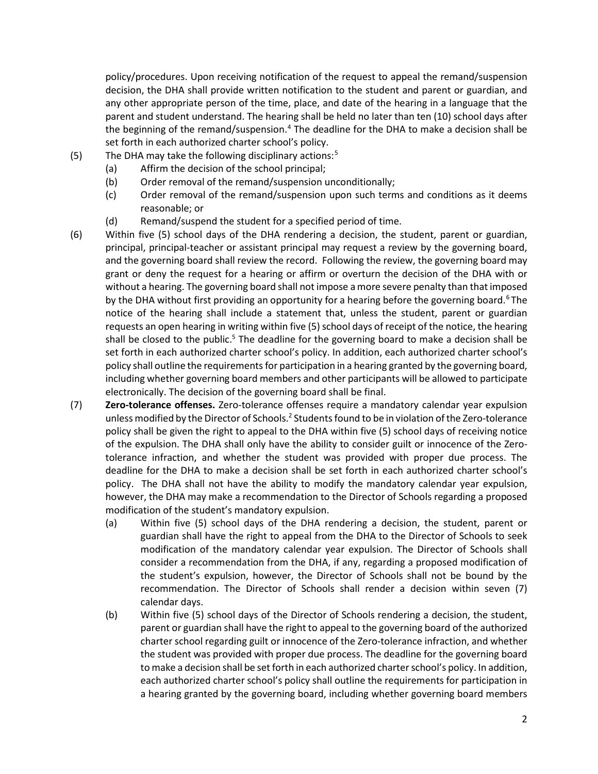policy/procedures. Upon receiving notification of the request to appeal the remand/suspension decision, the DHA shall provide written notification to the student and parent or guardian, and any other appropriate person of the time, place, and date of the hearing in a language that the parent and student understand. The hearing shall be held no later than ten (10) school days after the beginning of the remand/suspension. $4$  The deadline for the DHA to make a decision shall be set forth in each authorized charter school's policy.

- (5) The DHA may take the following disciplinary actions:[5](#page-2-4)
	- (a) Affirm the decision of the school principal;
	- (b) Order removal of the remand/suspension unconditionally;
	- (c) Order removal of the remand/suspension upon such terms and conditions as it deems reasonable; or
	- (d) Remand/suspend the student for a specified period of time.
- (6) Within five (5) school days of the DHA rendering a decision, the student, parent or guardian, principal, principal-teacher or assistant principal may request a review by the governing board, and the governing board shall review the record. Following the review, the governing board may grant or deny the request for a hearing or affirm or overturn the decision of the DHA with or without a hearing. The governing board shall not impose a more severe penalty than that imposed by the DHA without first providing an opportunity for a hearing before the governing board.<sup>[6](#page-2-5)</sup> The notice of the hearing shall include a statement that, unless the student, parent or guardian requests an open hearing in writing within five (5) school days of receipt of the notice, the hearing shall be closed to the public.<sup>5</sup> The deadline for the governing board to make a decision shall be set forth in each authorized charter school's policy. In addition, each authorized charter school's policy shall outline the requirements for participation in a hearing granted by the governing board, including whether governing board members and other participants will be allowed to participate electronically. The decision of the governing board shall be final.
- (7) **Zero-tolerance offenses.** Zero-tolerance offenses require a mandatory calendar year expulsion unless modified by the Director of Schools.<sup>2</sup> Students found to be in violation of the Zero-tolerance policy shall be given the right to appeal to the DHA within five (5) school days of receiving notice of the expulsion. The DHA shall only have the ability to consider guilt or innocence of the Zerotolerance infraction, and whether the student was provided with proper due process. The deadline for the DHA to make a decision shall be set forth in each authorized charter school's policy. The DHA shall not have the ability to modify the mandatory calendar year expulsion, however, the DHA may make a recommendation to the Director of Schools regarding a proposed modification of the student's mandatory expulsion.
	- (a) Within five (5) school days of the DHA rendering a decision, the student, parent or guardian shall have the right to appeal from the DHA to the Director of Schools to seek modification of the mandatory calendar year expulsion. The Director of Schools shall consider a recommendation from the DHA, if any, regarding a proposed modification of the student's expulsion, however, the Director of Schools shall not be bound by the recommendation. The Director of Schools shall render a decision within seven (7) calendar days.
	- (b) Within five (5) school days of the Director of Schools rendering a decision, the student, parent or guardian shall have the right to appeal to the governing board of the authorized charter school regarding guilt or innocence of the Zero-tolerance infraction, and whether the student was provided with proper due process. The deadline for the governing board to make a decision shall be set forth in each authorized charter school's policy. In addition, each authorized charter school's policy shall outline the requirements for participation in a hearing granted by the governing board, including whether governing board members